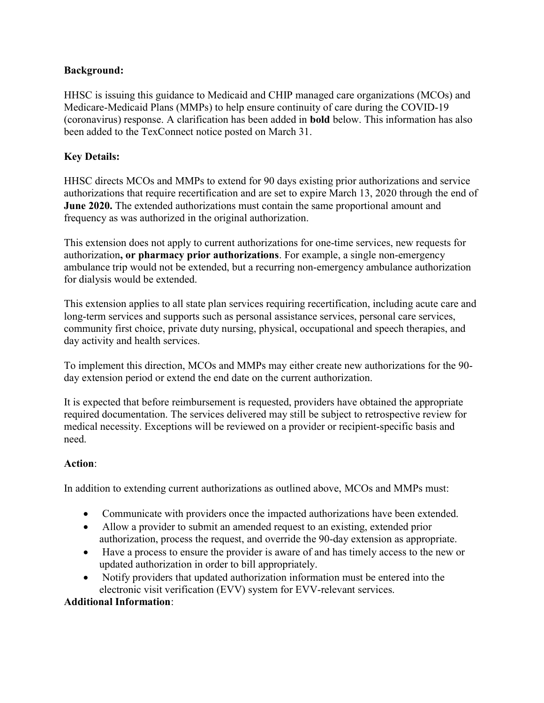### Background:

HHSC is issuing this guidance to Medicaid and CHIP managed care organizations (MCOs) and Medicare-Medicaid Plans (MMPs) to help ensure continuity of care during the COVID-19 (coronavirus) response. A clarification has been added in bold below. This information has also been added to the TexConnect notice posted on March 31.

## Key Details:

HHSC directs MCOs and MMPs to extend for 90 days existing prior authorizations and service authorizations that require recertification and are set to expire March 13, 2020 through the end of June 2020. The extended authorizations must contain the same proportional amount and frequency as was authorized in the original authorization.

This extension does not apply to current authorizations for one-time services, new requests for authorization, or pharmacy prior authorizations. For example, a single non-emergency ambulance trip would not be extended, but a recurring non-emergency ambulance authorization for dialysis would be extended.

This extension applies to all state plan services requiring recertification, including acute care and long-term services and supports such as personal assistance services, personal care services, community first choice, private duty nursing, physical, occupational and speech therapies, and day activity and health services.

To implement this direction, MCOs and MMPs may either create new authorizations for the 90 day extension period or extend the end date on the current authorization.

It is expected that before reimbursement is requested, providers have obtained the appropriate required documentation. The services delivered may still be subject to retrospective review for medical necessity. Exceptions will be reviewed on a provider or recipient-specific basis and need.

# Action:

In addition to extending current authorizations as outlined above, MCOs and MMPs must:

- Communicate with providers once the impacted authorizations have been extended.
- Allow a provider to submit an amended request to an existing, extended prior authorization, process the request, and override the 90-day extension as appropriate.
- Have a process to ensure the provider is aware of and has timely access to the new or updated authorization in order to bill appropriately.
- Notify providers that updated authorization information must be entered into the electronic visit verification (EVV) system for EVV-relevant services.

### Additional Information: